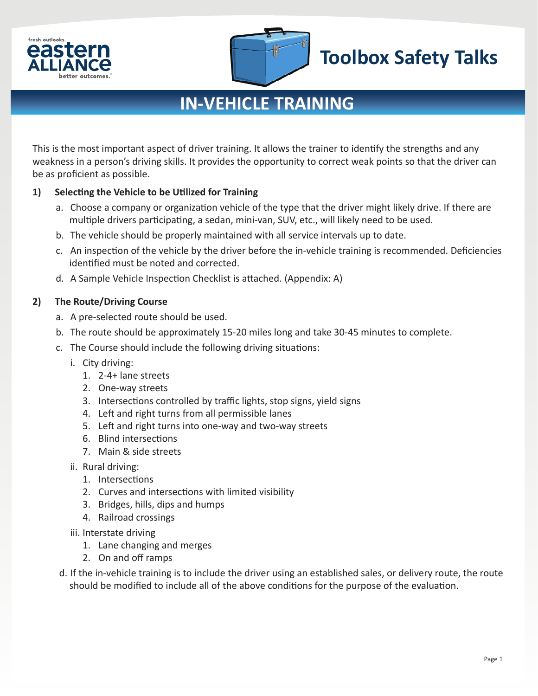



# **Toolbox Safety Talks**

### **IN-VEHICLE TRAINING**

This is the most important aspect of driver training. It allows the trainer to identify the strengths and any weakness in a person's driving skills. It provides the opportunity to correct weak points so that the driver can be as proficient as possible.

### **1) Selecting the Vehicle to be Utilized for Training**

- a. Choose a company or organization vehicle of the type that the driver might likely drive. If there are multiple drivers participating, a sedan, mini-van, SUV, etc., will likely need to be used.
- b. The vehicle should be properly maintained with all service intervals up to date.
- c. An inspection of the vehicle by the driver before the in-vehicle training is recommended. Deficiencies identified must be noted and corrected.
- d. A Sample Vehicle Inspection Checklist is attached. (Appendix: A)

### **2) The Route/Driving Course**

- a. A pre-selected route should be used.
- b. The route should be approximately 15-20 miles long and take 30-45 minutes to complete.
- c. The Course should include the following driving situations:
	- i. City driving:
		- 1. 2-4+ lane streets
		- 2. One-way streets
		- 3. Intersections controlled by traffic lights, stop signs, yield signs
		- 4. Left and right turns from all permissible lanes
		- 5. Left and right turns into one-way and two-way streets
		- 6. Blind intersections
		- 7. Main & side streets
	- ii. Rural driving:
		- 1. Intersections
		- 2. Curves and intersections with limited visibility
		- 3. Bridges, hills, dips and humps
		- 4. Railroad crossings
	- iii. Interstate driving
		- 1. Lane changing and merges
		- 2. On and off ramps
- d. If the in-vehicle training is to include the driver using an established sales, or delivery route, the route should be modified to include all of the above conditions for the purpose of the evaluation.